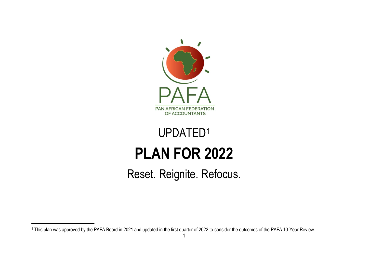

# UPDATED<sup>1</sup> **PLAN FOR 2022**

Reset. Reignite. Refocus.

<sup>&</sup>lt;sup>1</sup> This plan was approved by the PAFA Board in 2021 and updated in the first quarter of 2022 to consider the outcomes of the PAFA 10-Year Review.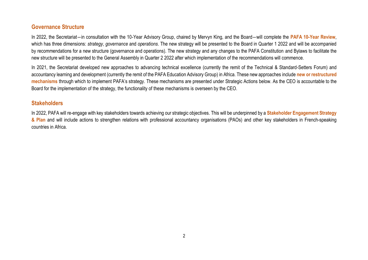## **Governance Structure**

In 2022, the Secretariat―in consultation with the 10-Year Advisory Group, chaired by Mervyn King, and the Board―will complete the **PAFA 10-Year Review**, which has three dimensions: *strategy*, *governance* and *operations*. The new strategy will be presented to the Board in Quarter 1 2022 and will be accompanied by recommendations for a new structure (governance and operations). The new strategy and any changes to the PAFA Constitution and Bylaws to facilitate the new structure will be presented to the General Assembly in Quarter 2 2022 after which implementation of the recommendations will commence.

In 2021, the Secretariat developed new approaches to advancing technical excellence (currently the remit of the Technical & Standard-Setters Forum) and accountancy learning and development (currently the remit of the PAFA Education Advisory Group) in Africa. These new approaches include **new or restructured mechanisms** through which to implement PAFA's strategy. These mechanisms are presented under Strategic Actions below. As the CEO is accountable to the Board for the implementation of the strategy, the functionality of these mechanisms is overseen by the CEO.

#### **Stakeholders**

In 2022, PAFA will re-engage with key stakeholders towards achieving our strategic objectives. This will be underpinned by a **Stakeholder Engagement Strategy & Plan** and will include actions to strengthen relations with professional accountancy organisations (PAOs) and other key stakeholders in French-speaking countries in Africa.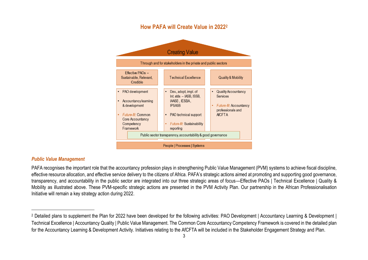## **How PAFA will Create Value in 2022<sup>2</sup>**



#### *Public Value Management*

PAFA recognises the important role that the accountancy profession plays in strengthening Public Value Management (PVM) systems to achieve fiscal discipline, effective resource allocation, and effective service delivery to the citizens of Africa. PAFA's strategic actions aimed at promoting and supporting good governance, transparency, and accountability in the public sector are integrated into our three strategic areas of focus—Effective PAOs | Technical Excellence | Quality & Mobility as illustrated above. These PVM-specific strategic actions are presented in the PVM Activity Plan. Our partnership in the African Professionalisation Initiative will remain a key strategy action during 2022.

<sup>2</sup> Detailed plans to supplement the Plan for 2022 have been developed for the following activities: PAO Development | Accountancy Learning & Development | Technical Excellence | Accountancy Quality | Public Value Management. The Common Core Accountancy Competency Framework is covered in the detailed plan for the Accountancy Learning & Development Activity. Initiatives relating to the AfCFTA will be included in the Stakeholder Engagement Strategy and Plan.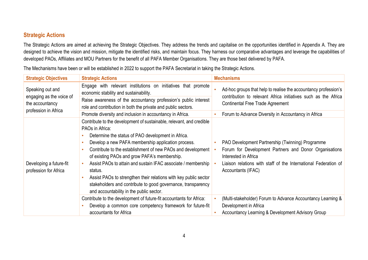### **Strategic Actions**

The Strategic Actions are aimed at achieving the Strategic Objectives. They address the trends and capitalise on the opportunities identified in Appendix A. They are designed to achieve the vision and mission, mitigate the identified risks, and maintain focus. They harness our comparative advantages and leverage the capabilities of developed PAOs, Affiliates and MOU Partners for the benefit of all PAFA Member Organisations. They are those best delivered by PAFA.

The Mechanisms have been or will be established in 2022 to support the PAFA Secretariat in taking the Strategic Actions.

| <b>Strategic Objectives</b>                                     | <b>Strategic Actions</b>                                                                                                                                                                                                                                                                                                                                                                                                                                                                                                                                                       |           | <b>Mechanisms</b>                                                                                                                                                                                                           |
|-----------------------------------------------------------------|--------------------------------------------------------------------------------------------------------------------------------------------------------------------------------------------------------------------------------------------------------------------------------------------------------------------------------------------------------------------------------------------------------------------------------------------------------------------------------------------------------------------------------------------------------------------------------|-----------|-----------------------------------------------------------------------------------------------------------------------------------------------------------------------------------------------------------------------------|
| Speaking out and<br>engaging as the voice of<br>the accountancy | Engage with relevant institutions on initiatives that promote<br>economic stability and sustainability.<br>Raise awareness of the accountancy profession's public interest<br>role and contribution in both the private and public sectors.                                                                                                                                                                                                                                                                                                                                    |           | Ad-hoc groups that help to realise the accountancy profession's<br>contribution to relevant Africa initiatives such as the Africa<br><b>Continental Free Trade Agreement</b>                                                |
| profession in Africa                                            | Promote diversity and inclusion in accountancy in Africa.                                                                                                                                                                                                                                                                                                                                                                                                                                                                                                                      | $\bullet$ | Forum to Advance Diversity in Accountancy in Africa                                                                                                                                                                         |
| Developing a future-fit<br>profession for Africa                | Contribute to the development of sustainable, relevant, and credible<br>PAOs in Africa:<br>Determine the status of PAO development in Africa.<br>Develop a new PAFA membership application process.<br>Contribute to the establishment of new PAOs and development<br>of existing PAOs and grow PAFA's membership.<br>Assist PAOs to attain and sustain IFAC associate / membership<br>status.<br>Assist PAOs to strengthen their relations with key public sector<br>stakeholders and contribute to good governance, transparency<br>and accountability in the public sector. |           | PAO Development Partnership (Twinning) Programme<br>Forum for Development Partners and Donor Organisations<br>Interested in Africa<br>Liaison relations with staff of the International Federation of<br>Accountants (IFAC) |
|                                                                 | Contribute to the development of future-fit accountants for Africa:                                                                                                                                                                                                                                                                                                                                                                                                                                                                                                            |           | (Multi-stakeholder) Forum to Advance Accountancy Learning &                                                                                                                                                                 |
|                                                                 | Develop a common core competency framework for future-fit<br>accountants for Africa                                                                                                                                                                                                                                                                                                                                                                                                                                                                                            |           | Development in Africa<br>Accountancy Learning & Development Advisory Group                                                                                                                                                  |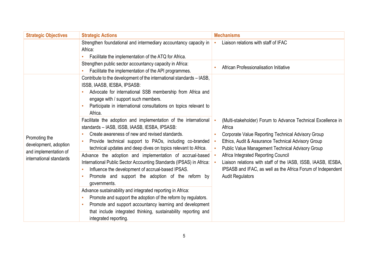| <b>Strategic Objectives</b>                                                                | <b>Strategic Actions</b>                                                                                                                                                                                                                                                                                                                                                                                                                                                                                                                                                                                                                                                                                                                                                                                                                                                                                                                                                                                                                                                                                                                     | <b>Mechanisms</b>                                                                                                                                                                                                                                                                                                                                                                                                                                      |
|--------------------------------------------------------------------------------------------|----------------------------------------------------------------------------------------------------------------------------------------------------------------------------------------------------------------------------------------------------------------------------------------------------------------------------------------------------------------------------------------------------------------------------------------------------------------------------------------------------------------------------------------------------------------------------------------------------------------------------------------------------------------------------------------------------------------------------------------------------------------------------------------------------------------------------------------------------------------------------------------------------------------------------------------------------------------------------------------------------------------------------------------------------------------------------------------------------------------------------------------------|--------------------------------------------------------------------------------------------------------------------------------------------------------------------------------------------------------------------------------------------------------------------------------------------------------------------------------------------------------------------------------------------------------------------------------------------------------|
|                                                                                            | Strengthen foundational and intermediary accountancy capacity in<br>Africa:<br>Facilitate the implementation of the ATQ for Africa.                                                                                                                                                                                                                                                                                                                                                                                                                                                                                                                                                                                                                                                                                                                                                                                                                                                                                                                                                                                                          | Liaison relations with staff of IFAC                                                                                                                                                                                                                                                                                                                                                                                                                   |
|                                                                                            | Strengthen public sector accountancy capacity in Africa:<br>Facilitate the implementation of the API programmes.                                                                                                                                                                                                                                                                                                                                                                                                                                                                                                                                                                                                                                                                                                                                                                                                                                                                                                                                                                                                                             | African Professionalisation Initiative                                                                                                                                                                                                                                                                                                                                                                                                                 |
| Promoting the<br>development, adoption<br>and implementation of<br>international standards | Contribute to the development of the international standards – IASB,<br>ISSB, IAASB, IESBA, IPSASB:<br>Advocate for international SSB membership from Africa and<br>engage with / support such members.<br>Participate in international consultations on topics relevant to<br>Africa.<br>Facilitate the adoption and implementation of the international<br>standards - IASB, ISSB, IAASB, IESBA, IPSASB:<br>Create awareness of new and revised standards.<br>Provide technical support to PAOs, including co-branded<br>technical updates and deep dives on topics relevant to Africa.<br>Advance the adoption and implementation of accrual-based<br>International Public Sector Accounting Standards (IPSAS) in Africa:<br>Influence the development of accrual-based IPSAS.<br>Promote and support the adoption of the reform by<br>governments.<br>Advance sustainability and integrated reporting in Africa:<br>Promote and support the adoption of the reform by regulators.<br>Promote and support accountancy learning and development<br>that include integrated thinking, sustainability reporting and<br>integrated reporting. | (Multi-stakeholder) Forum to Advance Technical Excellence in<br>Africa<br><b>Corporate Value Reporting Technical Advisory Group</b><br>Ethics, Audit & Assurance Technical Advisory Group<br><b>Public Value Management Technical Advisory Group</b><br>Africa Integrated Reporting Council<br>Liaison relations with staff of the IASB, ISSB, IAASB, IESBA,<br>IPSASB and IFAC, as well as the Africa Forum of Independent<br><b>Audit Regulators</b> |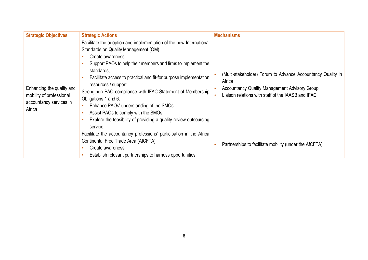| <b>Strategic Objectives</b>                                                                | <b>Strategic Actions</b>                                                                                                                                                                                                                                                                                                                                                                                                                                                                                                                                                       | <b>Mechanisms</b>                                                                                                                                                                   |
|--------------------------------------------------------------------------------------------|--------------------------------------------------------------------------------------------------------------------------------------------------------------------------------------------------------------------------------------------------------------------------------------------------------------------------------------------------------------------------------------------------------------------------------------------------------------------------------------------------------------------------------------------------------------------------------|-------------------------------------------------------------------------------------------------------------------------------------------------------------------------------------|
| Enhancing the quality and<br>mobility of professional<br>accountancy services in<br>Africa | Facilitate the adoption and implementation of the new International<br>Standards on Quality Management (QM):<br>Create awareness.<br>Support PAOs to help their members and firms to implement the<br>standards,<br>Facilitate access to practical and fit-for purpose implementation<br>resources / support.<br>Strengthen PAO compliance with IFAC Statement of Membership<br>Obligations 1 and 6:<br>Enhance PAOs' understanding of the SMOs.<br>Assist PAOs to comply with the SMOs.<br>٠<br>Explore the feasibility of providing a quality review outsourcing<br>service. | (Multi-stakeholder) Forum to Advance Accountancy Quality in<br>Africa<br><b>Accountancy Quality Management Advisory Group</b><br>Liaison relations with staff of the IAASB and IFAC |
|                                                                                            | Facilitate the accountancy professions' participation in the Africa<br>Continental Free Trade Area (AfCFTA)<br>Create awareness.<br>Establish relevant partnerships to harness opportunities.                                                                                                                                                                                                                                                                                                                                                                                  | Partnerships to facilitate mobility (under the AfCFTA)                                                                                                                              |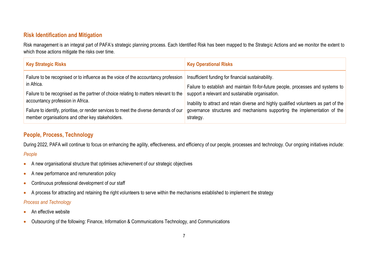## **Risk Identification and Mitigation**

Risk management is an integral part of PAFA's strategic planning process. Each Identified Risk has been mapped to the Strategic Actions and we monitor the extent to which those actions mitigate the risks over time.

| <b>Key Strategic Risks</b>                                                                                                                 | <b>Key Operational Risks</b>                                                           |
|--------------------------------------------------------------------------------------------------------------------------------------------|----------------------------------------------------------------------------------------|
| Failure to be recognised or to influence as the voice of the accountancy profession                                                        | Insufficient funding for financial sustainability.                                     |
| in Africa.                                                                                                                                 | Failure to establish and maintain fit-for-future people, processes and systems to      |
| Failure to be recognised as the partner of choice relating to matters relevant to the                                                      | support a relevant and sustainable organisation.                                       |
| accountancy profession in Africa.                                                                                                          | Inability to attract and retain diverse and highly qualified volunteers as part of the |
| Failure to identify, prioritise, or render services to meet the diverse demands of our<br>member organisations and other key stakeholders. | governance structures and mechanisms supporting the implementation of the<br>strategy. |

## **People, Process, Technology**

During 2022, PAFA will continue to focus on enhancing the agility, effectiveness, and efficiency of our people, processes and technology. Our ongoing initiatives include:

#### *People*

- A new organisational structure that optimises achievement of our strategic objectives
- A new performance and remuneration policy
- Continuous professional development of our staff
- A process for attracting and retaining the right volunteers to serve within the mechanisms established to implement the strategy

#### *Process and Technology*

- An effective website
- Outsourcing of the following: Finance, Information & Communications Technology, and Communications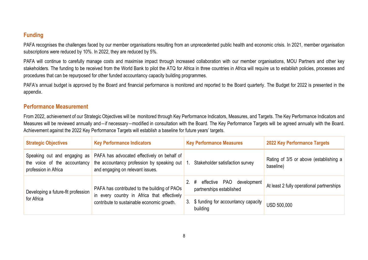## **Funding**

PAFA recognises the challenges faced by our member organisations resulting from an unprecedented public health and economic crisis. In 2021, member organisation subscriptions were reduced by 10%. In 2022, they are reduced by 5%.

PAFA will continue to carefully manage costs and maximise impact through increased collaboration with our member organisations, MOU Partners and other key stakeholders. The funding to be received from the World Bank to pilot the ATQ for Africa in three countries in Africa will require us to establish policies, processes and procedures that can be repurposed for other funded accountancy capacity building programmes.

PAFA's annual budget is approved by the Board and financial performance is monitored and reported to the Board quarterly. The Budget for 2022 is presented in the appendix.

#### **Performance Measurement**

From 2022, achievement of our Strategic Objectives will be monitored through Key Performance Indicators, Measures, and Targets. The Key Performance Indicators and Measures will be reviewed annually and―if necessary―modified in consultation with the Board. The Key Performance Targets will be agreed annually with the Board. Achievement against the 2022 Key Performance Targets will establish a baseline for future years' targets.

| <b>Strategic Objectives</b>                                                          | <b>Key Performance Indicators</b>                                                                                                         | <b>Key Performance Measures</b>                                  | <b>2022 Key Performance Targets</b>                 |  |
|--------------------------------------------------------------------------------------|-------------------------------------------------------------------------------------------------------------------------------------------|------------------------------------------------------------------|-----------------------------------------------------|--|
| Speaking out and engaging as<br>the voice of the accountancy<br>profession in Africa | PAFA has advocated effectively on behalf of<br>the accountancy profession by speaking out<br>and engaging on relevant issues.             | Stakeholder satisfaction survey                                  | Rating of 3/5 or above (establishing a<br>baseline) |  |
| Developing a future-fit profession<br>for Africa                                     | PAFA has contributed to the building of PAOs<br>in every country in Africa that effectively<br>contribute to sustainable economic growth. | effective PAO development<br>2.<br>#<br>partnerships established | At least 2 fully operational partnerships           |  |
|                                                                                      |                                                                                                                                           | 3. \$ funding for accountancy capacity<br>building               | <b>USD 500,000</b>                                  |  |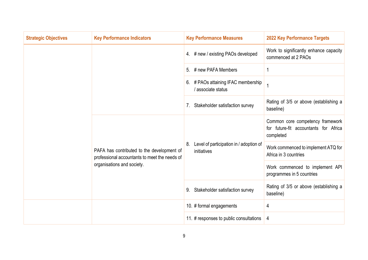| <b>Strategic Objectives</b> | <b>Key Performance Indicators</b>                                                                                         | <b>Key Performance Measures</b>                               | <b>2022 Key Performance Targets</b>                                                    |
|-----------------------------|---------------------------------------------------------------------------------------------------------------------------|---------------------------------------------------------------|----------------------------------------------------------------------------------------|
|                             | 4. # new / existing PAOs developed                                                                                        | Work to significantly enhance capacity<br>commenced at 2 PAOs |                                                                                        |
|                             |                                                                                                                           | 5. # new PAFA Members                                         | 1                                                                                      |
|                             |                                                                                                                           | 6. # PAOs attaining IFAC membership<br>/ associate status     |                                                                                        |
|                             |                                                                                                                           | Stakeholder satisfaction survey<br>7.                         | Rating of 3/5 or above (establishing a<br>baseline)                                    |
|                             | PAFA has contributed to the development of<br>professional accountants to meet the needs of<br>organisations and society. |                                                               | Common core competency framework<br>for future-fit accountants for Africa<br>completed |
|                             |                                                                                                                           | Level of participation in / adoption of<br>8.<br>initiatives  | Work commenced to implement ATQ for<br>Africa in 3 countries                           |
|                             |                                                                                                                           |                                                               | Work commenced to implement API<br>programmes in 5 countries                           |
|                             |                                                                                                                           | Stakeholder satisfaction survey<br>9.                         | Rating of 3/5 or above (establishing a<br>baseline)                                    |
|                             |                                                                                                                           | 10. # formal engagements                                      | 4                                                                                      |
|                             |                                                                                                                           | 11. # responses to public consultations                       | 4                                                                                      |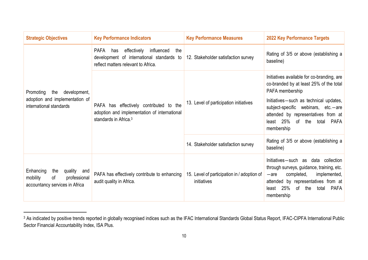| <b>Strategic Objectives</b>                                                                            | <b>Key Performance Indicators</b>                                                                                                          | <b>Key Performance Measures</b>                            | <b>2022 Key Performance Targets</b>                                                                                                                                                                                                 |
|--------------------------------------------------------------------------------------------------------|--------------------------------------------------------------------------------------------------------------------------------------------|------------------------------------------------------------|-------------------------------------------------------------------------------------------------------------------------------------------------------------------------------------------------------------------------------------|
|                                                                                                        | <b>PAFA</b><br>effectively<br>influenced<br>the<br>has<br>development of international standards to<br>reflect matters relevant to Africa. | 12. Stakeholder satisfaction survey                        | Rating of 3/5 or above (establishing a<br>baseline)                                                                                                                                                                                 |
| Promoting<br>development,<br>the                                                                       |                                                                                                                                            |                                                            | Initiatives available for co-branding, are<br>co-branded by at least 25% of the total<br>PAFA membership                                                                                                                            |
| adoption and implementation of<br>international standards                                              | PAFA has effectively contributed to the<br>adoption and implementation of international<br>standards in Africa. <sup>3</sup>               | 13. Level of participation initiatives                     | Initiatives-such as technical updates,<br>subject-specific webinars, etc.-are<br>attended by representatives from at<br>25%<br>of the<br>total PAFA<br>least<br>membership                                                          |
|                                                                                                        |                                                                                                                                            | 14. Stakeholder satisfaction survey                        | Rating of 3/5 or above (establishing a<br>baseline)                                                                                                                                                                                 |
| Enhancing<br>the<br>quality<br>and<br>mobility<br>of<br>professional<br>accountancy services in Africa | PAFA has effectively contribute to enhancing<br>audit quality in Africa.                                                                   | 15. Level of participation in / adoption of<br>initiatives | Initiatives-such as data collection<br>through surveys, guidance, training, etc.<br>implemented,<br>completed,<br>$-$ are<br>attended by representatives from at<br>25%<br>of<br>the<br><b>PAFA</b><br>total<br>least<br>membership |

<sup>3</sup> As indicated by positive trends reported in globally recognised indices such as the IFAC International Standards Global Status Report, IFAC-CIPFA International Public Sector Financial Accountability Index, ISA Plus.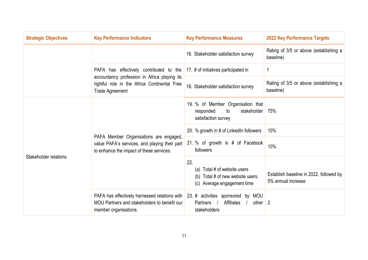| <b>Strategic Objectives</b>                                                                                            | <b>Key Performance Indicators</b>                                                                                                   | <b>Key Performance Measures</b>                                                                                        | <b>2022 Key Performance Targets</b>                           |
|------------------------------------------------------------------------------------------------------------------------|-------------------------------------------------------------------------------------------------------------------------------------|------------------------------------------------------------------------------------------------------------------------|---------------------------------------------------------------|
|                                                                                                                        |                                                                                                                                     | 16. Stakeholder satisfaction survey                                                                                    | Rating of 3/5 or above (establishing a<br>baseline)           |
|                                                                                                                        | PAFA has effectively contributed to the                                                                                             | 17. # of initiatives participated in                                                                                   |                                                               |
| accountancy profession in Africa playing its<br>rightful role in the Africa Continental Free<br><b>Trade Agreement</b> |                                                                                                                                     | 18. Stakeholder satisfaction survey                                                                                    | Rating of 3/5 or above (establishing a<br>baseline)           |
|                                                                                                                        | PAFA Member Organisations are engaged,<br>value PAFA's services, and playing their part<br>to enhance the impact of these services. | 19. % of Member Organisation that<br>stakeholder<br>responded<br>to<br>satisfaction survey                             | 75%                                                           |
|                                                                                                                        |                                                                                                                                     | 20. % growth in # of LinkedIn followers                                                                                | 10%                                                           |
|                                                                                                                        |                                                                                                                                     | 21. % of growth in # of Facebook<br>followers                                                                          | 10%                                                           |
| Stakeholder relations                                                                                                  |                                                                                                                                     | 22.<br>(a) Total # of website users<br>Total # of new website users<br>(b)<br>(c) Average engagement time              | Establish baseline in 2022, followed by<br>5% annual increase |
|                                                                                                                        | PAFA has effectively harnessed relations with<br>MOU Partners and stakeholders to benefit our<br>member organisations.              | 23. # activities sponsored by<br><b>MOU</b><br><b>Affiliates</b><br>other $\vert$ 2<br><b>Partners</b><br>stakeholders |                                                               |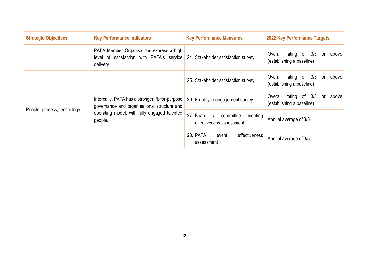| <b>Strategic Objectives</b> | <b>Key Performance Indicators</b>                                                                                                                          | <b>Key Performance Measures</b>                               | <b>2022 Key Performance Targets</b>                               |  |  |  |
|-----------------------------|------------------------------------------------------------------------------------------------------------------------------------------------------------|---------------------------------------------------------------|-------------------------------------------------------------------|--|--|--|
|                             | PAFA Member Organisations express a high<br>level of satisfaction with PAFA's service<br>delivery                                                          | 24. Stakeholder satisfaction survey                           | Overall rating of 3/5 or<br>above<br>(establishing a baseline)    |  |  |  |
| People, process, technology | Internally, PAFA has a stronger, fit-for-purpose<br>governance and organisational structure and<br>operating model, with fully engaged talented<br>people. | 25. Stakeholder satisfaction survey                           | Overall rating of 3/5<br>above<br>or<br>(establishing a baseline) |  |  |  |
|                             |                                                                                                                                                            | 26. Employee engagement survey                                | Overall rating of 3/5<br>above<br>or<br>(establishing a baseline) |  |  |  |
|                             |                                                                                                                                                            | 27. Board<br>committee<br>meeting<br>effectiveness assessment | Annual average of 3/5                                             |  |  |  |
|                             |                                                                                                                                                            | 28. PAFA<br>effectiveness<br>event<br>assessment              | Annual average of 3/5                                             |  |  |  |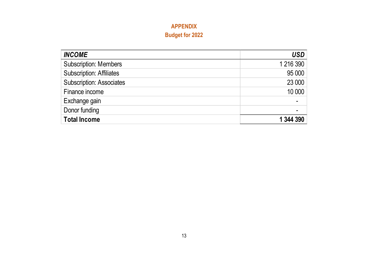## **APPENDIX Budget for 2022**

| <b>INCOME</b>                   | <b>USD</b> |
|---------------------------------|------------|
| <b>Subscription: Members</b>    | 1 216 390  |
| <b>Subscription: Affiliates</b> | 95 000     |
| <b>Subscription: Associates</b> | 23 000     |
| Finance income                  | 10 000     |
| Exchange gain                   |            |
| Donor funding                   |            |
| <b>Total Income</b>             | 1 344 390  |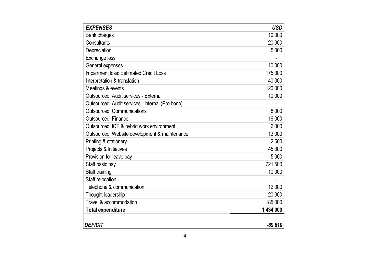| <b>EXPENSES</b>                                  | <b>USD</b> |
|--------------------------------------------------|------------|
| <b>Bank charges</b>                              | 10 000     |
| Consultants                                      | 20 000     |
| Depreciation                                     | 5 0 0 0    |
| Exchange loss                                    |            |
| General expenses                                 | 10 000     |
| Impairment loss: Estimated Credit Loss           | 175 000    |
| Interpretation & translation                     | 40 000     |
| Meetings & events                                | 120 000    |
| Outsourced: Audit services - External            | 10 000     |
| Outsourced: Audit services - Internal (Pro bono) |            |
| <b>Outsourced: Communications</b>                | 8 0 0 0    |
| <b>Outsourced: Finance</b>                       | 16 000     |
| Outsourced: ICT & hybrid work environment        | 6 0 0 0    |
| Outsourced: Website development & maintenance    | 13 000     |
| Printing & stationery                            | 2500       |
| Projects & Initiatives                           | 45 000     |
| Provision for leave pay                          | 5 0 0 0    |
| Staff basic pay                                  | 721 500    |
| Staff training                                   | 10 000     |
| Staff relocation                                 |            |
| Telephone & communication                        | 12 000     |
| Thought leadership                               | 20 000     |
| Travel & accommodation                           | 185 000    |
| <b>Total expenditure</b>                         | 1 434 000  |
|                                                  |            |
| <b>DEFICIT</b>                                   | $-89610$   |